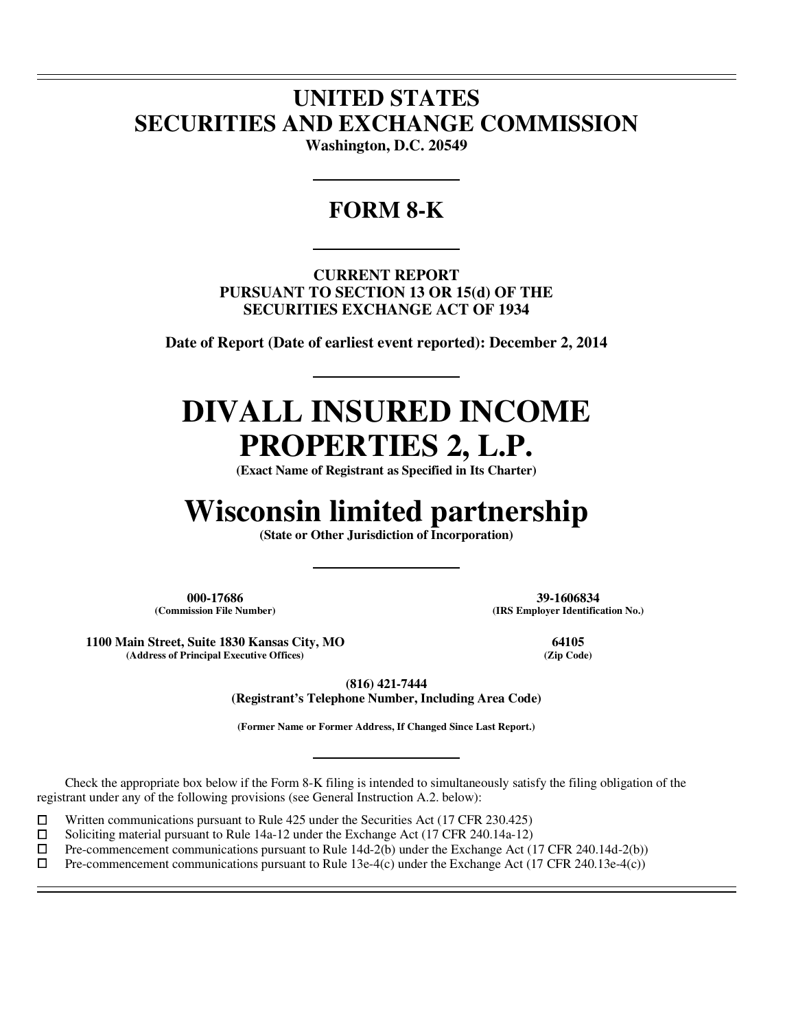## **UNITED STATES SECURITIES AND EXCHANGE COMMISSION**

**Washington, D.C. 20549** 

### **FORM 8-K**

**CURRENT REPORT PURSUANT TO SECTION 13 OR 15(d) OF THE SECURITIES EXCHANGE ACT OF 1934** 

**Date of Report (Date of earliest event reported): December 2, 2014** 

# **DIVALL INSURED INCOME PROPERTIES 2, L.P.**

**(Exact Name of Registrant as Specified in Its Charter)** 

# **Wisconsin limited partnership**

**(State or Other Jurisdiction of Incorporation)** 

**000-17686 39-1606834**

 $\overline{a}$  $\overline{a}$ 

 $\overline{a}$ 

**(Commission File Number) (IRS Employer Identification No.)**

**1100 Main Street, Suite 1830 Kansas City, MO 64105**  $(A$ ddress of Principal Executive Offices)

**(816) 421-7444** 

**(Registrant's Telephone Number, Including Area Code)** 

**(Former Name or Former Address, If Changed Since Last Report.)** 

Check the appropriate box below if the Form 8-K filing is intended to simultaneously satisfy the filing obligation of the registrant under any of the following provisions (see General Instruction A.2. below):

 $□$  Written communications pursuant to Rule 425 under the Securities Act (17 CFR 230.425)<br>
□ Soliciting material pursuant to Rule 14a-12 under the Exchange Act (17 CFR 240.14a-12)

 $\Box$  Soliciting material pursuant to Rule 14a-12 under the Exchange Act (17 CFR 240.14a-12) <br>Pre-commencement communications pursuant to Rule 14d-2(b) under the Exchange Act (1

 $\Box$  Pre-commencement communications pursuant to Rule 14d-2(b) under the Exchange Act (17 CFR 240.14d-2(b)) <br>Pre-commencement communications pursuant to Rule 13e-4(c) under the Exchange Act (17 CFR 240.13e-4(c))

Pre-commencement communications pursuant to Rule 13e-4(c) under the Exchange Act (17 CFR 240.13e-4(c))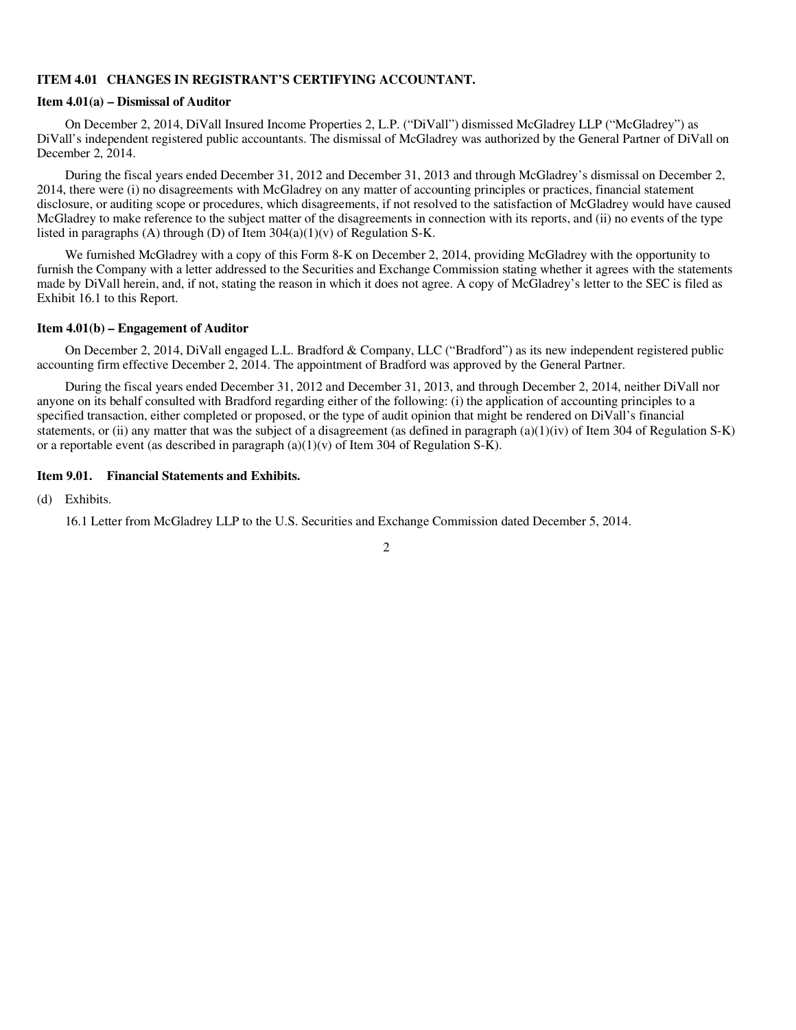#### **ITEM 4.01 CHANGES IN REGISTRANT'S CERTIFYING ACCOUNTANT.**

#### **Item 4.01(a) – Dismissal of Auditor**

On December 2, 2014, DiVall Insured Income Properties 2, L.P. ("DiVall") dismissed McGladrey LLP ("McGladrey") as DiVall's independent registered public accountants. The dismissal of McGladrey was authorized by the General Partner of DiVall on December 2, 2014.

During the fiscal years ended December 31, 2012 and December 31, 2013 and through McGladrey's dismissal on December 2, 2014, there were (i) no disagreements with McGladrey on any matter of accounting principles or practices, financial statement disclosure, or auditing scope or procedures, which disagreements, if not resolved to the satisfaction of McGladrey would have caused McGladrey to make reference to the subject matter of the disagreements in connection with its reports, and (ii) no events of the type listed in paragraphs (A) through (D) of Item  $304(a)(1)(v)$  of Regulation S-K.

We furnished McGladrey with a copy of this Form 8-K on December 2, 2014, providing McGladrey with the opportunity to furnish the Company with a letter addressed to the Securities and Exchange Commission stating whether it agrees with the statements made by DiVall herein, and, if not, stating the reason in which it does not agree. A copy of McGladrey's letter to the SEC is filed as Exhibit 16.1 to this Report.

#### **Item 4.01(b) – Engagement of Auditor**

On December 2, 2014, DiVall engaged L.L. Bradford & Company, LLC ("Bradford") as its new independent registered public accounting firm effective December 2, 2014. The appointment of Bradford was approved by the General Partner.

During the fiscal years ended December 31, 2012 and December 31, 2013, and through December 2, 2014, neither DiVall nor anyone on its behalf consulted with Bradford regarding either of the following: (i) the application of accounting principles to a specified transaction, either completed or proposed, or the type of audit opinion that might be rendered on DiVall's financial statements, or (ii) any matter that was the subject of a disagreement (as defined in paragraph (a)(1)(iv) of Item 304 of Regulation S-K) or a reportable event (as described in paragraph  $(a)(1)(v)$  of Item 304 of Regulation S-K).

#### **Item 9.01. Financial Statements and Exhibits.**

(d) Exhibits.

16.1 Letter from McGladrey LLP to the U.S. Securities and Exchange Commission dated December 5, 2014.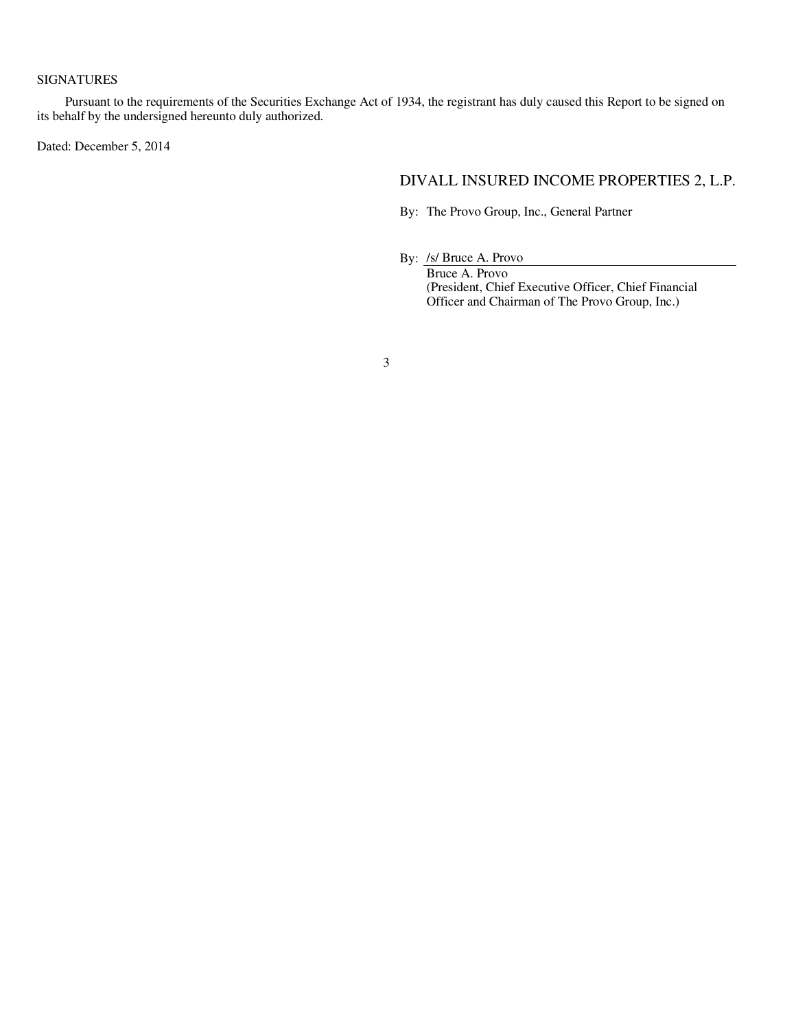#### SIGNATURES

Pursuant to the requirements of the Securities Exchange Act of 1934, the registrant has duly caused this Report to be signed on its behalf by the undersigned hereunto duly authorized.

Dated: December 5, 2014

### DIVALL INSURED INCOME PROPERTIES 2, L.P.

By: The Provo Group, Inc., General Partner

By: /s/ Bruce A. Provo

Bruce A. Provo (President, Chief Executive Officer, Chief Financial Officer and Chairman of The Provo Group, Inc.)

3